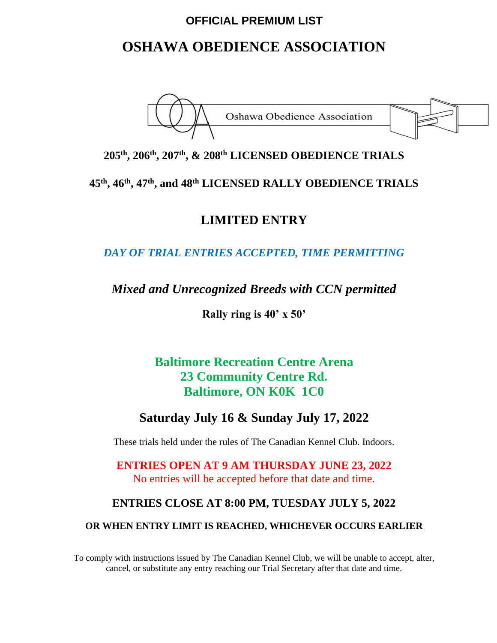# **OFFICIAL PREMIUM LIST**

# **OSHAWA OBEDIENCE ASSOCIATION**



# **205th , 206th , 207th , & 208 th LICENSED OBEDIENCE TRIALS**

**45th , 46th , 47th , and 48th LICENSED RALLY OBEDIENCE TRIALS** 

# **LIMITED ENTRY**

*DAY OF TRIAL ENTRIES ACCEPTED, TIME PERMITTING*

# *Mixed and Unrecognized Breeds with CCN permitted*

**Rally ring is 40' x 50'**

**Baltimore Recreation Centre Arena 23 Community Centre Rd. Baltimore, ON K0K 1C0**

# **Saturday July 16 & Sunday July 17, 2022**

These trials held under the rules of The Canadian Kennel Club. Indoors.

**ENTRIES OPEN AT 9 AM THURSDAY JUNE 23, 2022** No entries will be accepted before that date and time.

# **ENTRIES CLOSE AT 8:00 PM, TUESDAY JULY 5, 2022**

#### **OR WHEN ENTRY LIMIT IS REACHED, WHICHEVER OCCURS EARLIER**

To comply with instructions issued by The Canadian Kennel Club, we will be unable to accept, alter, cancel, or substitute any entry reaching our Trial Secretary after that date and time.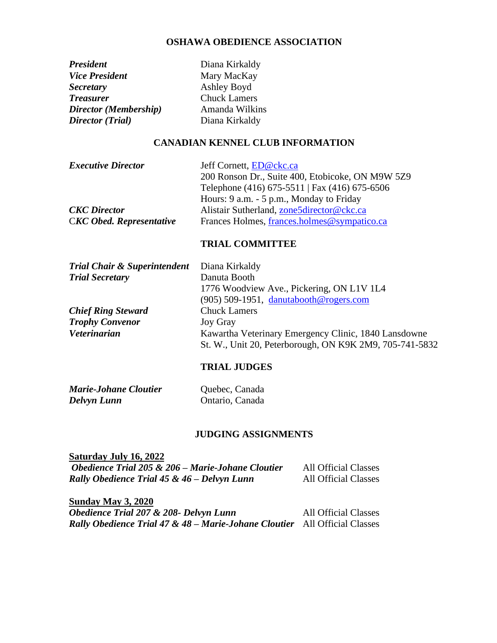#### **OSHAWA OBEDIENCE ASSOCIATION**

**Vice President** Mary MacKay *Secretary* Ashley Boyd *Treasurer* Chuck Lamers *Director (Membership)* Amanda Wilkins *Director (Trial)* Diana Kirkaldy

*President* Diana Kirkaldy

#### **CANADIAN KENNEL CLUB INFORMATION**

| <b>Executive Director</b>       | Jeff Cornett, ED@ckc.ca                          |
|---------------------------------|--------------------------------------------------|
|                                 | 200 Ronson Dr., Suite 400, Etobicoke, ON M9W 5Z9 |
|                                 | Telephone (416) 675-5511   Fax (416) 675-6506    |
|                                 | Hours: 9 a.m. - 5 p.m., Monday to Friday         |
| <b>CKC</b> Director             | Alistair Sutherland, zone5director@ckc.ca        |
| <b>CKC</b> Obed. Representative | Frances Holmes, frances.holmes@sympatico.ca      |

#### **TRIAL COMMITTEE**

| <b>Trial Chair &amp; Superintendent</b> | Diana Kirkaldy                                                                                                  |
|-----------------------------------------|-----------------------------------------------------------------------------------------------------------------|
| <b>Trial Secretary</b>                  | Danuta Booth                                                                                                    |
|                                         | 1776 Woodview Ave., Pickering, ON L1V 1L4                                                                       |
|                                         | $(905)$ 509-1951, danutabooth@rogers.com                                                                        |
| <b>Chief Ring Steward</b>               | <b>Chuck Lamers</b>                                                                                             |
| <b>Trophy Convenor</b>                  | <b>Joy Gray</b>                                                                                                 |
| <b>Veterinarian</b>                     | Kawartha Veterinary Emergency Clinic, 1840 Lansdowne<br>St. W., Unit 20, Peterborough, ON K9K 2M9, 705-741-5832 |

### **TRIAL JUDGES**

| <b>Marie-Johane Cloutier</b> | Quebec, Canada  |
|------------------------------|-----------------|
| Delvyn Lunn                  | Ontario, Canada |

#### **JUDGING ASSIGNMENTS**

| Saturday July 16, 2022                            |                             |
|---------------------------------------------------|-----------------------------|
| Obedience Trial 205 & 206 – Marie-Johane Cloutier | <b>All Official Classes</b> |
| Rally Obedience Trial 45 & 46 – Delvyn Lunn       | <b>All Official Classes</b> |

**Sunday May 3, 2020** *Obedience Trial 207 & 208- Delvyn Lunn* All Official Classes *Rally Obedience Trial 47 & 48 – Marie-Johane Cloutier* All Official Classes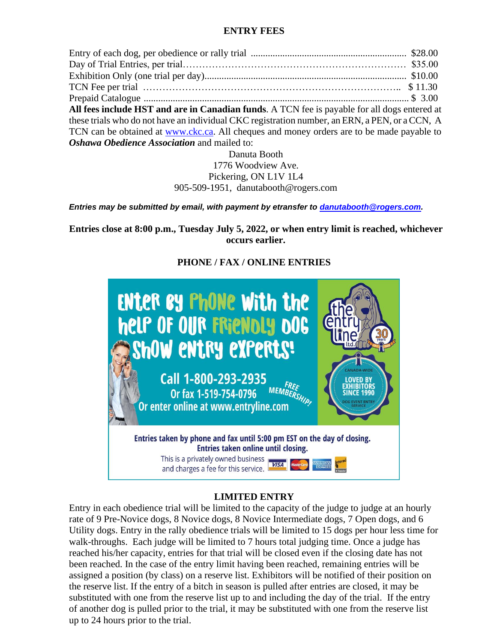### **ENTRY FEES**

Entry of each dog, per obedience or rally trial ................................................................ \$28.00 Day of Trial Entries, per trial…………………………………………………………… \$35.00 Exhibition Only (one trial per day)................................................................................... \$10.00 TCN Fee per trial …………………………………………………………………….. \$ 11.30 Prepaid Catalogue ............................................................................................................. \$ 3.00 **All fees include HST and are in Canadian funds**. A TCN fee is payable for all dogs entered at these trials who do not have an individual CKC registration number, an ERN, a PEN, or a CCN, A TCN can be obtained at [www.ckc.ca.](http://www.ckc.ca/) All cheques and money orders are to be made payable to *Oshawa Obedience Association* and mailed to:

Danuta Booth 1776 Woodview Ave. Pickering, ON L1V 1L4 905-509-1951, danutabooth@rogers.com

*Entries may be submitted by email, with payment by etransfer to [danutabooth@rogers.com.](mailto:danutabooth@rogers.com)*

**Entries close at 8:00 p.m., Tuesday July 5, 2022, or when entry limit is reached, whichever occurs earlier.**



## **PHONE / FAX / ONLINE ENTRIES**

## **LIMITED ENTRY**

Entry in each obedience trial will be limited to the capacity of the judge to judge at an hourly rate of 9 Pre-Novice dogs, 8 Novice dogs, 8 Novice Intermediate dogs, 7 Open dogs, and 6 Utility dogs. Entry in the rally obedience trials will be limited to 15 dogs per hour less time for walk-throughs. Each judge will be limited to 7 hours total judging time. Once a judge has reached his/her capacity, entries for that trial will be closed even if the closing date has not been reached. In the case of the entry limit having been reached, remaining entries will be assigned a position (by class) on a reserve list. Exhibitors will be notified of their position on the reserve list. If the entry of a bitch in season is pulled after entries are closed, it may be substituted with one from the reserve list up to and including the day of the trial. If the entry of another dog is pulled prior to the trial, it may be substituted with one from the reserve list up to 24 hours prior to the trial.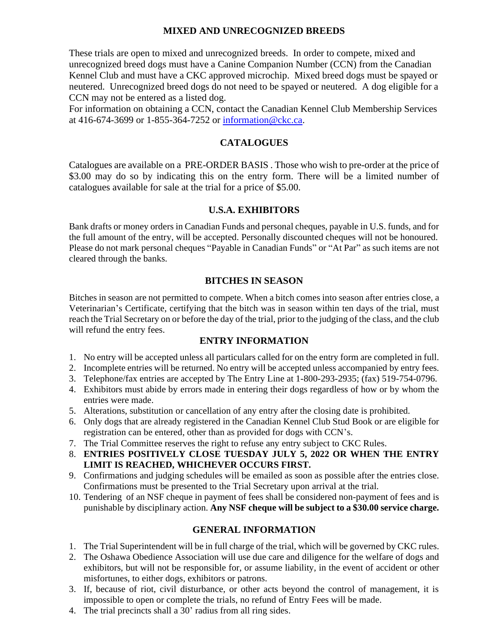### **MIXED AND UNRECOGNIZED BREEDS**

These trials are open to mixed and unrecognized breeds. In order to compete, mixed and unrecognized breed dogs must have a Canine Companion Number (CCN) from the Canadian Kennel Club and must have a CKC approved microchip. Mixed breed dogs must be spayed or neutered. Unrecognized breed dogs do not need to be spayed or neutered. A dog eligible for a CCN may not be entered as a listed dog.

For information on obtaining a CCN, contact the Canadian Kennel Club Membership Services at 416-674-3699 or 1-855-364-7252 or [information@ckc.ca.](mailto:information@ckc.ca)

### **CATALOGUES**

Catalogues are available on a PRE-ORDER BASIS . Those who wish to pre-order at the price of \$3.00 may do so by indicating this on the entry form. There will be a limited number of catalogues available for sale at the trial for a price of \$5.00.

### **U.S.A. EXHIBITORS**

Bank drafts or money orders in Canadian Funds and personal cheques, payable in U.S. funds, and for the full amount of the entry, will be accepted. Personally discounted cheques will not be honoured. Please do not mark personal cheques "Payable in Canadian Funds" or "At Par" as such items are not cleared through the banks.

#### **BITCHES IN SEASON**

Bitches in season are not permitted to compete. When a bitch comes into season after entries close, a Veterinarian's Certificate, certifying that the bitch was in season within ten days of the trial, must reach the Trial Secretary on or before the day of the trial, prior to the judging of the class, and the club will refund the entry fees.

### **ENTRY INFORMATION**

- 1. No entry will be accepted unless all particulars called for on the entry form are completed in full.
- 2. Incomplete entries will be returned. No entry will be accepted unless accompanied by entry fees.
- 3. Telephone/fax entries are accepted by The Entry Line at 1-800-293-2935; (fax) 519-754-0796.
- 4. Exhibitors must abide by errors made in entering their dogs regardless of how or by whom the entries were made.
- 5. Alterations, substitution or cancellation of any entry after the closing date is prohibited.
- 6. Only dogs that are already registered in the Canadian Kennel Club Stud Book or are eligible for registration can be entered, other than as provided for dogs with CCN's.
- 7. The Trial Committee reserves the right to refuse any entry subject to CKC Rules.
- 8. **ENTRIES POSITIVELY CLOSE TUESDAY JULY 5, 2022 OR WHEN THE ENTRY LIMIT IS REACHED, WHICHEVER OCCURS FIRST.**
- 9. Confirmations and judging schedules will be emailed as soon as possible after the entries close. Confirmations must be presented to the Trial Secretary upon arrival at the trial.
- 10. Tendering of an NSF cheque in payment of fees shall be considered non-payment of fees and is punishable by disciplinary action. **Any NSF cheque will be subject to a \$30.00 service charge.**

### **GENERAL INFORMATION**

- 1. The Trial Superintendent will be in full charge of the trial, which will be governed by CKC rules.
- 2. The Oshawa Obedience Association will use due care and diligence for the welfare of dogs and exhibitors, but will not be responsible for, or assume liability, in the event of accident or other misfortunes, to either dogs, exhibitors or patrons.
- 3. If, because of riot, civil disturbance, or other acts beyond the control of management, it is impossible to open or complete the trials, no refund of Entry Fees will be made.
- 4. The trial precincts shall a 30' radius from all ring sides.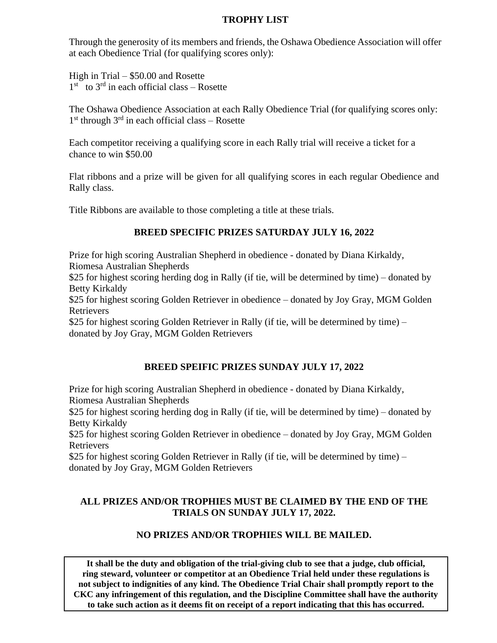### **TROPHY LIST**

Through the generosity of its members and friends, the Oshawa Obedience Association will offer at each Obedience Trial (for qualifying scores only):

High in Trial – \$50.00 and Rosette  $1<sup>st</sup>$  to  $3<sup>rd</sup>$  in each official class – Rosette

The Oshawa Obedience Association at each Rally Obedience Trial (for qualifying scores only: 1<sup>st</sup> through 3<sup>rd</sup> in each official class - Rosette

Each competitor receiving a qualifying score in each Rally trial will receive a ticket for a chance to win \$50.00

Flat ribbons and a prize will be given for all qualifying scores in each regular Obedience and Rally class.

Title Ribbons are available to those completing a title at these trials.

# **BREED SPECIFIC PRIZES SATURDAY JULY 16, 2022**

Prize for high scoring Australian Shepherd in obedience - donated by Diana Kirkaldy, Riomesa Australian Shepherds

\$25 for highest scoring herding dog in Rally (if tie, will be determined by time) – donated by Betty Kirkaldy

\$25 for highest scoring Golden Retriever in obedience – donated by Joy Gray, MGM Golden Retrievers

\$25 for highest scoring Golden Retriever in Rally (if tie, will be determined by time) – donated by Joy Gray, MGM Golden Retrievers

## **BREED SPEIFIC PRIZES SUNDAY JULY 17, 2022**

Prize for high scoring Australian Shepherd in obedience - donated by Diana Kirkaldy, Riomesa Australian Shepherds

\$25 for highest scoring herding dog in Rally (if tie, will be determined by time) – donated by Betty Kirkaldy

\$25 for highest scoring Golden Retriever in obedience – donated by Joy Gray, MGM Golden Retrievers

\$25 for highest scoring Golden Retriever in Rally (if tie, will be determined by time) – donated by Joy Gray, MGM Golden Retrievers

## **ALL PRIZES AND/OR TROPHIES MUST BE CLAIMED BY THE END OF THE TRIALS ON SUNDAY JULY 17, 2022.**

## **NO PRIZES AND/OR TROPHIES WILL BE MAILED.**

**It shall be the duty and obligation of the trial-giving club to see that a judge, club official, ring steward, volunteer or competitor at an Obedience Trial held under these regulations is not subject to indignities of any kind. The Obedience Trial Chair shall promptly report to the CKC any infringement of this regulation, and the Discipline Committee shall have the authority to take such action as it deems fit on receipt of a report indicating that this has occurred.**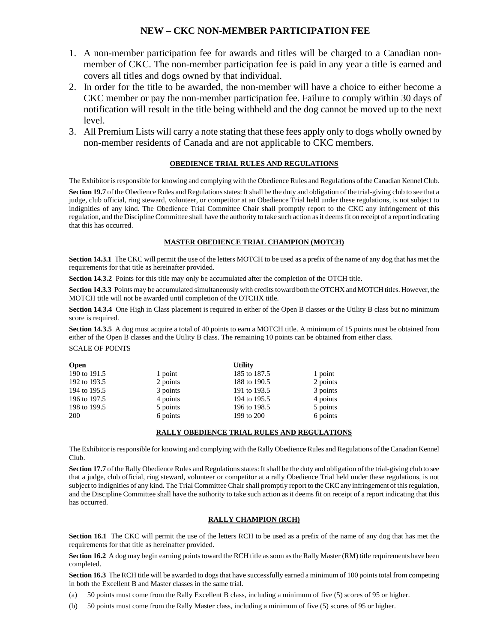#### **NEW – CKC NON-MEMBER PARTICIPATION FEE**

- 1. A non-member participation fee for awards and titles will be charged to a Canadian nonmember of CKC. The non-member participation fee is paid in any year a title is earned and covers all titles and dogs owned by that individual.
- 2. In order for the title to be awarded, the non-member will have a choice to either become a CKC member or pay the non-member participation fee. Failure to comply within 30 days of notification will result in the title being withheld and the dog cannot be moved up to the next level.
- 3. All Premium Lists will carry a note stating that these fees apply only to dogs wholly owned by non-member residents of Canada and are not applicable to CKC members.

#### **OBEDIENCE TRIAL RULES AND REGULATIONS**

The Exhibitor is responsible for knowing and complying with the Obedience Rules and Regulations of the Canadian Kennel Club.

**Section 19.7** of the Obedience Rules and Regulations states: It shall be the duty and obligation of the trial-giving club to see that a judge, club official, ring steward, volunteer, or competitor at an Obedience Trial held under these regulations, is not subject to indignities of any kind. The Obedience Trial Committee Chair shall promptly report to the CKC any infringement of this regulation, and the Discipline Committee shall have the authority to take such action as it deems fit on receipt of a report indicating that this has occurred.

#### **MASTER OBEDIENCE TRIAL CHAMPION (MOTCH)**

**Section 14.3.1** The CKC will permit the use of the letters MOTCH to be used as a prefix of the name of any dog that has met the requirements for that title as hereinafter provided.

**Section 14.3.2** Points for this title may only be accumulated after the completion of the OTCH title.

**Section 14.3.3** Points may be accumulated simultaneously with credits toward both the OTCHX and MOTCH titles. However, the MOTCH title will not be awarded until completion of the OTCHX title.

**Section 14.3.4** One High in Class placement is required in either of the Open B classes or the Utility B class but no minimum score is required.

**Section 14.3.5** A dog must acquire a total of 40 points to earn a MOTCH title. A minimum of 15 points must be obtained from either of the Open B classes and the Utility B class. The remaining 10 points can be obtained from either class. SCALE OF POINTS

| <b>Open</b>  | <b>Utility</b> |              |          |
|--------------|----------------|--------------|----------|
| 190 to 191.5 | 1 point        | 185 to 187.5 | 1 point  |
| 192 to 193.5 | 2 points       | 188 to 190.5 | 2 points |
| 194 to 195.5 | 3 points       | 191 to 193.5 | 3 points |
| 196 to 197.5 | 4 points       | 194 to 195.5 | 4 points |
| 198 to 199.5 | 5 points       | 196 to 198.5 | 5 points |
| <b>200</b>   | 6 points       | 199 to 200   | 6 points |

#### **RALLY OBEDIENCE TRIAL RULES AND REGULATIONS**

The Exhibitor is responsible for knowing and complying with the Rally Obedience Rules and Regulations of theCanadian Kennel Club.

**Section 17.7** of the Rally Obedience Rules and Regulations states: It shall be the duty and obligation of the trial-giving club to see that a judge, club official, ring steward, volunteer or competitor at a rally Obedience Trial held under these regulations, is not subject to indignities of any kind. The Trial Committee Chair shall promptly report to the CKC any infringement of this regulation, and the Discipline Committee shall have the authority to take such action as it deems fit on receipt of a report indicating that this has occurred.

#### **RALLY CHAMPION (RCH)**

**Section 16.1** The CKC will permit the use of the letters RCH to be used as a prefix of the name of any dog that has met the requirements for that title as hereinafter provided.

**Section 16.2** A dog may begin earning points toward the RCH title as soon as the Rally Master (RM) title requirements have been completed.

**Section 16.3** The RCH title will be awarded to dogs that have successfully earned a minimum of 100 points total from competing in both the Excellent B and Master classes in the same trial.

- (a) 50 points must come from the Rally Excellent B class, including a minimum of five (5) scores of 95 or higher.
- (b) 50 points must come from the Rally Master class, including a minimum of five (5) scores of 95 or higher.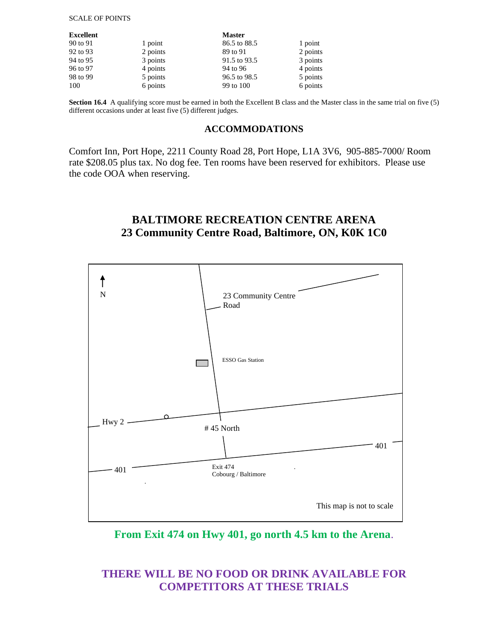#### SCALE OF POINTS

| Excellent<br><b>Master</b> |          |              |          |
|----------------------------|----------|--------------|----------|
| 90 to 91                   | 1 point  | 86.5 to 88.5 | 1 point  |
| 92 to 93                   | 2 points | 89 to 91     | 2 points |
| 94 to 95                   | 3 points | 91.5 to 93.5 | 3 points |
| 96 to 97                   | 4 points | 94 to 96     | 4 points |
| 98 to 99                   | 5 points | 96.5 to 98.5 | 5 points |
| 100                        | 6 points | 99 to 100    | 6 points |

**Section 16.4** A qualifying score must be earned in both the Excellent B class and the Master class in the same trial on five (5) different occasions under at least five (5) different judges.

#### **ACCOMMODATIONS**

Comfort Inn, Port Hope, 2211 County Road 28, Port Hope, L1A 3V6, 905-885-7000/ Room rate \$208.05 plus tax. No dog fee. Ten rooms have been reserved for exhibitors. Please use the code OOA when reserving.

## **BALTIMORE RECREATION CENTRE ARENA 23 Community Centre Road, Baltimore, ON, K0K 1C0**



**From Exit 474 on Hwy 401, go north 4.5 km to the Arena**.

# **THERE WILL BE NO FOOD OR DRINK AVAILABLE FOR COMPETITORS AT THESE TRIALS**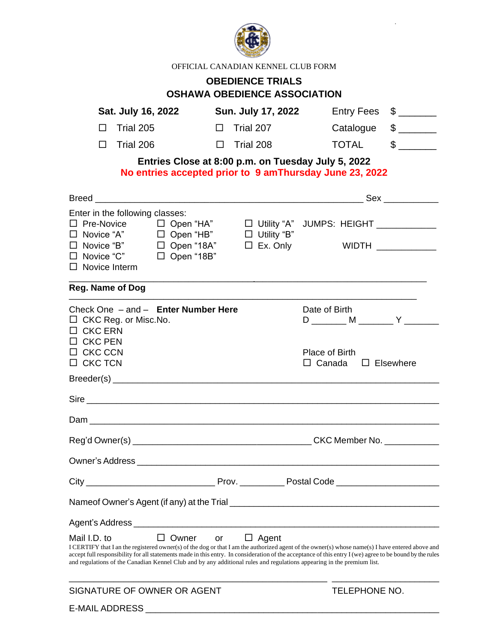

OFFICIAL CANADIAN KENNEL CLUB FORM

# **OBEDIENCE TRIALS OSHAWA OBEDIENCE ASSOCIATION**

| Sat. July 16, 2022                                                                                                                                                 | Sun. July 17, 2022                                 | $\frac{1}{2}$<br><b>Entry Fees</b>                                                                                                                                                                                                                                                                          |
|--------------------------------------------------------------------------------------------------------------------------------------------------------------------|----------------------------------------------------|-------------------------------------------------------------------------------------------------------------------------------------------------------------------------------------------------------------------------------------------------------------------------------------------------------------|
| Trial 205<br>П                                                                                                                                                     | $\Box$ Trial 207                                   | $$\overbrace{\hspace{2.5cm}}$<br>Catalogue                                                                                                                                                                                                                                                                  |
| Trial 206<br>□                                                                                                                                                     | Trial 208<br>□                                     | $\frac{1}{2}$<br><b>TOTAL</b>                                                                                                                                                                                                                                                                               |
|                                                                                                                                                                    | Entries Close at 8:00 p.m. on Tuesday July 5, 2022 | No entries accepted prior to 9 amThursday June 23, 2022                                                                                                                                                                                                                                                     |
|                                                                                                                                                                    |                                                    |                                                                                                                                                                                                                                                                                                             |
| Enter in the following classes:<br>□ Novice "A" □ Open "HB"<br>□ Open "18A"<br>$\Box$ Novice "B"<br>$\Box$ Novice "C"<br>$\Box$ Open "18B"<br>$\Box$ Novice Interm | $\Box$ Utility "B"<br>$\Box$ Ex. Only              | □ Pre-Novice □ Open "HA" □ Utility "A" JUMPS: HEIGHT ____________<br>WIDTH _____________                                                                                                                                                                                                                    |
| Reg. Name of Dog                                                                                                                                                   |                                                    |                                                                                                                                                                                                                                                                                                             |
| Check One - and - Enter Number Here<br>$\Box$ CKC Reg. or Misc. No.<br>$\Box$ CKC ERN<br>$\Box$ CKC PEN                                                            |                                                    | Date of Birth<br>D ________ M ________ Y _______                                                                                                                                                                                                                                                            |
| $\Box$ CKC CCN<br>$\Box$ CKC TCN                                                                                                                                   |                                                    | Place of Birth                                                                                                                                                                                                                                                                                              |
|                                                                                                                                                                    |                                                    | $\Box$ Canada<br>$\Box$ Elsewhere                                                                                                                                                                                                                                                                           |
|                                                                                                                                                                    |                                                    |                                                                                                                                                                                                                                                                                                             |
|                                                                                                                                                                    |                                                    |                                                                                                                                                                                                                                                                                                             |
|                                                                                                                                                                    |                                                    |                                                                                                                                                                                                                                                                                                             |
|                                                                                                                                                                    |                                                    |                                                                                                                                                                                                                                                                                                             |
|                                                                                                                                                                    |                                                    |                                                                                                                                                                                                                                                                                                             |
|                                                                                                                                                                    |                                                    |                                                                                                                                                                                                                                                                                                             |
| Agent's Address <b>contract and the Contract of Agent's Address</b>                                                                                                |                                                    |                                                                                                                                                                                                                                                                                                             |
| $\Box$ Owner<br>Mail I.D. to<br>and regulations of the Canadian Kennel Club and by any additional rules and regulations appearing in the premium list.             | $\Box$ Agent<br>or                                 | I CERTIFY that I an the registered owner(s) of the dog or that I am the authorized agent of the owner(s) whose name(s) I have entered above and<br>accept full responsibility for all statements made in this entry. In consideration of the acceptance of this entry I (we) agree to be bound by the rules |
| SIGNATURE OF OWNER OR AGENT                                                                                                                                        |                                                    | <b>TELEPHONE NO.</b>                                                                                                                                                                                                                                                                                        |
| <b>E-MAIL ADDRESS</b>                                                                                                                                              |                                                    |                                                                                                                                                                                                                                                                                                             |